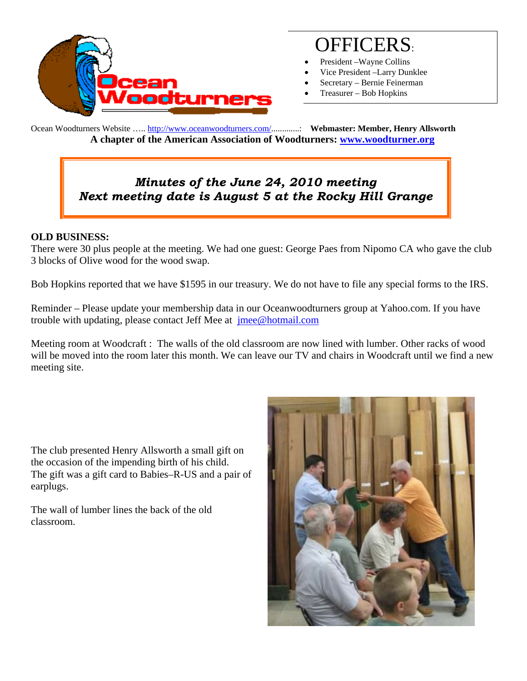

# OFFICERS:

- President –Wayne Collins
- Vice President –Larry Dunklee
- Secretary Bernie Feinerman
- Treasurer Bob Hopkins

Ocean Woodturners Website ….. http://www.oceanwoodturners.com/.............: **Webmaster: Member, Henry Allsworth A chapter of the American Association of Woodturners: www.woodturner.org** 

# *Minutes of the June 24, 2010 meeting Next meeting date is August 5 at the Rocky Hill Grange*

#### **OLD BUSINESS:**

There were 30 plus people at the meeting. We had one guest: George Paes from Nipomo CA who gave the club 3 blocks of Olive wood for the wood swap.

Bob Hopkins reported that we have \$1595 in our treasury. We do not have to file any special forms to the IRS.

Reminder – Please update your membership data in our Oceanwoodturners group at Yahoo.com. If you have trouble with updating, please contact Jeff Mee at *imee@hotmail.com* 

Meeting room at Woodcraft : The walls of the old classroom are now lined with lumber. Other racks of wood will be moved into the room later this month. We can leave our TV and chairs in Woodcraft until we find a new meeting site.

The club presented Henry Allsworth a small gift on the occasion of the impending birth of his child. The gift was a gift card to Babies–R-US and a pair of earplugs.

The wall of lumber lines the back of the old classroom.

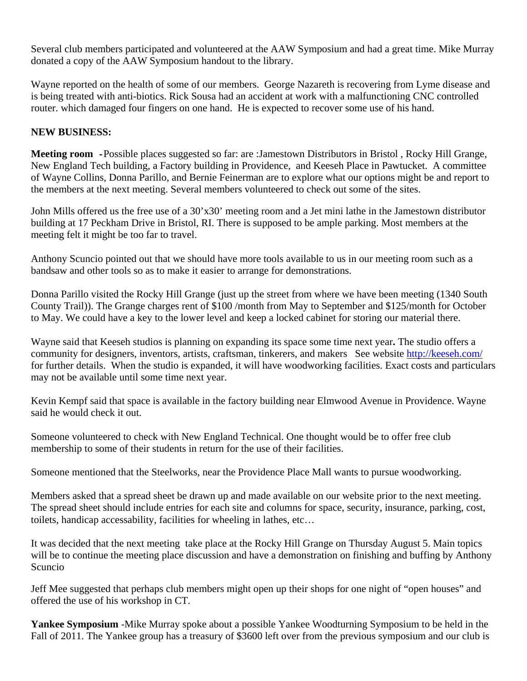Several club members participated and volunteered at the AAW Symposium and had a great time. Mike Murray donated a copy of the AAW Symposium handout to the library.

Wayne reported on the health of some of our members. George Nazareth is recovering from Lyme disease and is being treated with anti-biotics. Rick Sousa had an accident at work with a malfunctioning CNC controlled router. which damaged four fingers on one hand. He is expected to recover some use of his hand.

### **NEW BUSINESS:**

**Meeting room -**Possible places suggested so far: are :Jamestown Distributors in Bristol , Rocky Hill Grange, New England Tech building, a Factory building in Providence, and Keeseh Place in Pawtucket. A committee of Wayne Collins, Donna Parillo, and Bernie Feinerman are to explore what our options might be and report to the members at the next meeting. Several members volunteered to check out some of the sites.

John Mills offered us the free use of a 30'x30' meeting room and a Jet mini lathe in the Jamestown distributor building at 17 Peckham Drive in Bristol, RI. There is supposed to be ample parking. Most members at the meeting felt it might be too far to travel.

Anthony Scuncio pointed out that we should have more tools available to us in our meeting room such as a bandsaw and other tools so as to make it easier to arrange for demonstrations.

Donna Parillo visited the Rocky Hill Grange (just up the street from where we have been meeting (1340 South County Trail)). The Grange charges rent of \$100 /month from May to September and \$125/month for October to May. We could have a key to the lower level and keep a locked cabinet for storing our material there.

Wayne said that Keeseh studios is planning on expanding its space some time next year**.** The studio offers a community for designers, inventors, artists, craftsman, tinkerers, and makers See website http://keeseh.com/ for further details. When the studio is expanded, it will have woodworking facilities. Exact costs and particulars may not be available until some time next year.

Kevin Kempf said that space is available in the factory building near Elmwood Avenue in Providence. Wayne said he would check it out.

Someone volunteered to check with New England Technical. One thought would be to offer free club membership to some of their students in return for the use of their facilities.

Someone mentioned that the Steelworks, near the Providence Place Mall wants to pursue woodworking.

Members asked that a spread sheet be drawn up and made available on our website prior to the next meeting. The spread sheet should include entries for each site and columns for space, security, insurance, parking, cost, toilets, handicap accessability, facilities for wheeling in lathes, etc…

It was decided that the next meeting take place at the Rocky Hill Grange on Thursday August 5. Main topics will be to continue the meeting place discussion and have a demonstration on finishing and buffing by Anthony Scuncio

Jeff Mee suggested that perhaps club members might open up their shops for one night of "open houses" and offered the use of his workshop in CT.

**Yankee Symposium** -Mike Murray spoke about a possible Yankee Woodturning Symposium to be held in the Fall of 2011. The Yankee group has a treasury of \$3600 left over from the previous symposium and our club is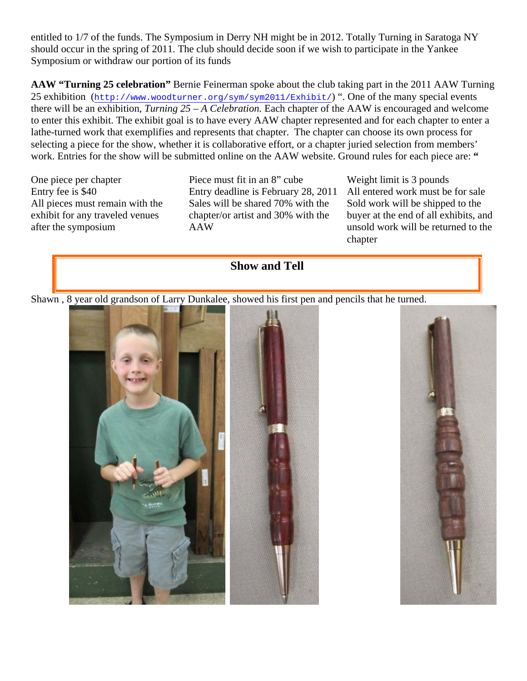entitled to 1/7 of the funds. The Symposium in Derry NH might be in 2012. Totally Turning in Saratoga NY should occur in the spring of 2011. The club should decide soon if we wish to participate in the Yankee Symposium or withdraw our portion of its funds

**AAW "Turning 25 celebration"** Bernie Feinerman spoke about the club taking part in the 2011 AAW Turning 25 exhibition (http://www.woodturner.org/sym/sym2011/Exhibit/) ". One of the many special events there will be an exhibition, *Turning 25 – A Celebration.* Each chapter of the AAW is encouraged and welcome to enter this exhibit. The exhibit goal is to have every AAW chapter represented and for each chapter to enter a lathe-turned work that exemplifies and represents that chapter. The chapter can choose its own process for selecting a piece for the show, whether it is collaborative effort, or a chapter juried selection from members' work. Entries for the show will be submitted online on the AAW website. Ground rules for each piece are: "

All pieces must remain with the exhibit for any traveled venues after the symposium

One piece per chapter Piece must fit in an 8" cube Weight limit is 3 pounds Entry fee is \$40 Entry deadline is February 28, 2011 All entered work must be for sale Sales will be shared 70% with the chapter/or artist and 30% with the AAW

Sold work will be shipped to the buyer at the end of all exhibits, and unsold work will be returned to the chapter



Shawn , 8 year old grandson of Larry Dunkalee, showed his first pen and pencils that he turned.